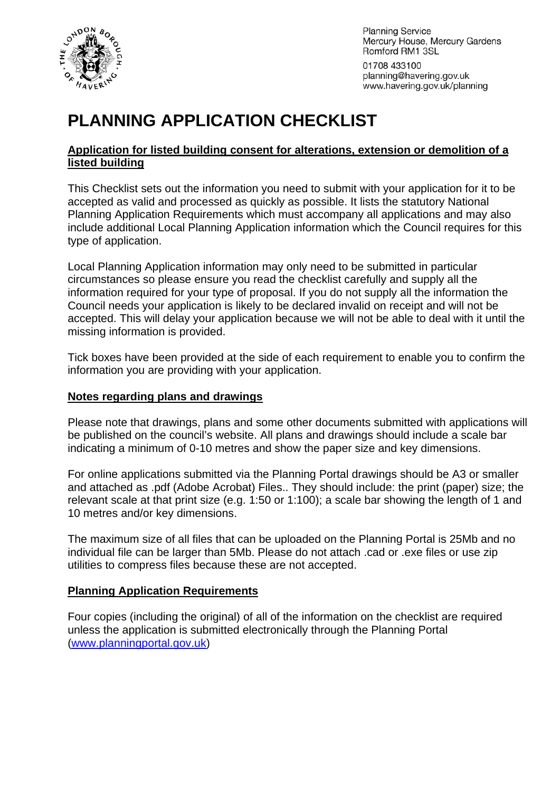

**Planning Service** Mercury House, Mercury Gardens Romford RM1 3SL

01708 433100 planning@havering.gov.uk www.havering.gov.uk/planning

# **PLANNING APPLICATION CHECKLIST**

#### **Application for listed building consent for alterations, extension or demolition of a listed building**

This Checklist sets out the information you need to submit with your application for it to be accepted as valid and processed as quickly as possible. It lists the statutory National Planning Application Requirements which must accompany all applications and may also include additional Local Planning Application information which the Council requires for this type of application.

Local Planning Application information may only need to be submitted in particular circumstances so please ensure you read the checklist carefully and supply all the information required for your type of proposal. If you do not supply all the information the Council needs your application is likely to be declared invalid on receipt and will not be accepted. This will delay your application because we will not be able to deal with it until the missing information is provided.

Tick boxes have been provided at the side of each requirement to enable you to confirm the information you are providing with your application.

#### **Notes regarding plans and drawings**

Please note that drawings, plans and some other documents submitted with applications will be published on the council's website. All plans and drawings should include a scale bar indicating a minimum of 0-10 metres and show the paper size and key dimensions.

For online applications submitted via the Planning Portal drawings should be A3 or smaller and attached as .pdf (Adobe Acrobat) Files.. They should include: the print (paper) size; the relevant scale at that print size (e.g. 1:50 or 1:100); a scale bar showing the length of 1 and 10 metres and/or key dimensions.

The maximum size of all files that can be uploaded on the Planning Portal is 25Mb and no individual file can be larger than 5Mb. Please do not attach .cad or .exe files or use zip utilities to compress files because these are not accepted.

#### **Planning Application Requirements**

Four copies (including the original) of all of the information on the checklist are required unless the application is submitted electronically through the Planning Portal ([www.planningportal.gov.uk](http://www.planningportal.gov.uk/))